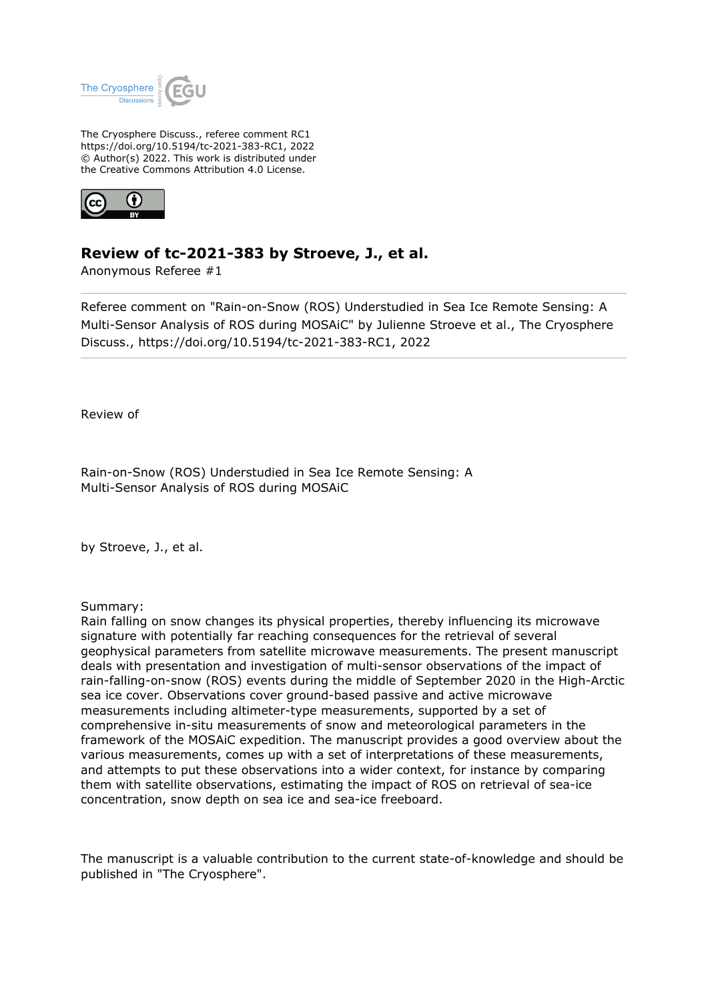

The Cryosphere Discuss., referee comment RC1 https://doi.org/10.5194/tc-2021-383-RC1, 2022 © Author(s) 2022. This work is distributed under the Creative Commons Attribution 4.0 License.



## **Review of tc-2021-383 by Stroeve, J., et al.**

Anonymous Referee #1

Referee comment on "Rain-on-Snow (ROS) Understudied in Sea Ice Remote Sensing: A Multi-Sensor Analysis of ROS during MOSAiC" by Julienne Stroeve et al., The Cryosphere Discuss., https://doi.org/10.5194/tc-2021-383-RC1, 2022

Review of

Rain-on-Snow (ROS) Understudied in Sea Ice Remote Sensing: A Multi-Sensor Analysis of ROS during MOSAiC

by Stroeve, J., et al.

Summary:

Rain falling on snow changes its physical properties, thereby influencing its microwave signature with potentially far reaching consequences for the retrieval of several geophysical parameters from satellite microwave measurements. The present manuscript deals with presentation and investigation of multi-sensor observations of the impact of rain-falling-on-snow (ROS) events during the middle of September 2020 in the High-Arctic sea ice cover. Observations cover ground-based passive and active microwave measurements including altimeter-type measurements, supported by a set of comprehensive in-situ measurements of snow and meteorological parameters in the framework of the MOSAiC expedition. The manuscript provides a good overview about the various measurements, comes up with a set of interpretations of these measurements, and attempts to put these observations into a wider context, for instance by comparing them with satellite observations, estimating the impact of ROS on retrieval of sea-ice concentration, snow depth on sea ice and sea-ice freeboard.

The manuscript is a valuable contribution to the current state-of-knowledge and should be published in "The Cryosphere".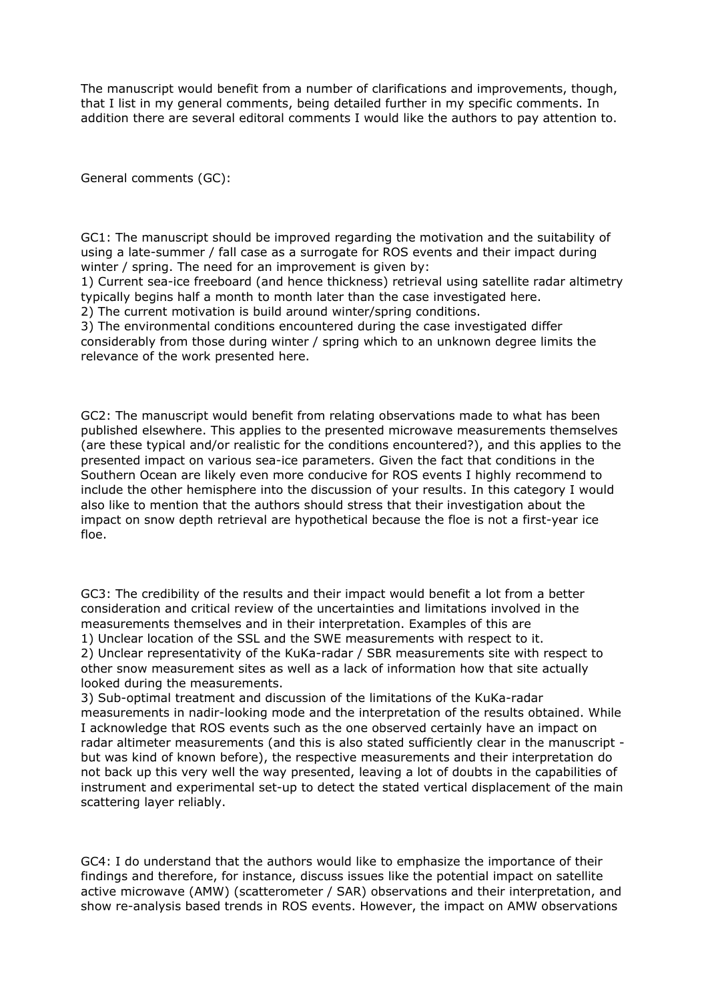The manuscript would benefit from a number of clarifications and improvements, though, that I list in my general comments, being detailed further in my specific comments. In addition there are several editoral comments I would like the authors to pay attention to.

General comments (GC):

GC1: The manuscript should be improved regarding the motivation and the suitability of using a late-summer / fall case as a surrogate for ROS events and their impact during winter / spring. The need for an improvement is given by:

1) Current sea-ice freeboard (and hence thickness) retrieval using satellite radar altimetry typically begins half a month to month later than the case investigated here.

2) The current motivation is build around winter/spring conditions.

3) The environmental conditions encountered during the case investigated differ considerably from those during winter / spring which to an unknown degree limits the relevance of the work presented here.

GC2: The manuscript would benefit from relating observations made to what has been published elsewhere. This applies to the presented microwave measurements themselves (are these typical and/or realistic for the conditions encountered?), and this applies to the presented impact on various sea-ice parameters. Given the fact that conditions in the Southern Ocean are likely even more conducive for ROS events I highly recommend to include the other hemisphere into the discussion of your results. In this category I would also like to mention that the authors should stress that their investigation about the impact on snow depth retrieval are hypothetical because the floe is not a first-year ice floe.

GC3: The credibility of the results and their impact would benefit a lot from a better consideration and critical review of the uncertainties and limitations involved in the measurements themselves and in their interpretation. Examples of this are 1) Unclear location of the SSL and the SWE measurements with respect to it.

2) Unclear representativity of the KuKa-radar / SBR measurements site with respect to other snow measurement sites as well as a lack of information how that site actually looked during the measurements.

3) Sub-optimal treatment and discussion of the limitations of the KuKa-radar measurements in nadir-looking mode and the interpretation of the results obtained. While I acknowledge that ROS events such as the one observed certainly have an impact on radar altimeter measurements (and this is also stated sufficiently clear in the manuscript but was kind of known before), the respective measurements and their interpretation do not back up this very well the way presented, leaving a lot of doubts in the capabilities of instrument and experimental set-up to detect the stated vertical displacement of the main scattering layer reliably.

GC4: I do understand that the authors would like to emphasize the importance of their findings and therefore, for instance, discuss issues like the potential impact on satellite active microwave (AMW) (scatterometer / SAR) observations and their interpretation, and show re-analysis based trends in ROS events. However, the impact on AMW observations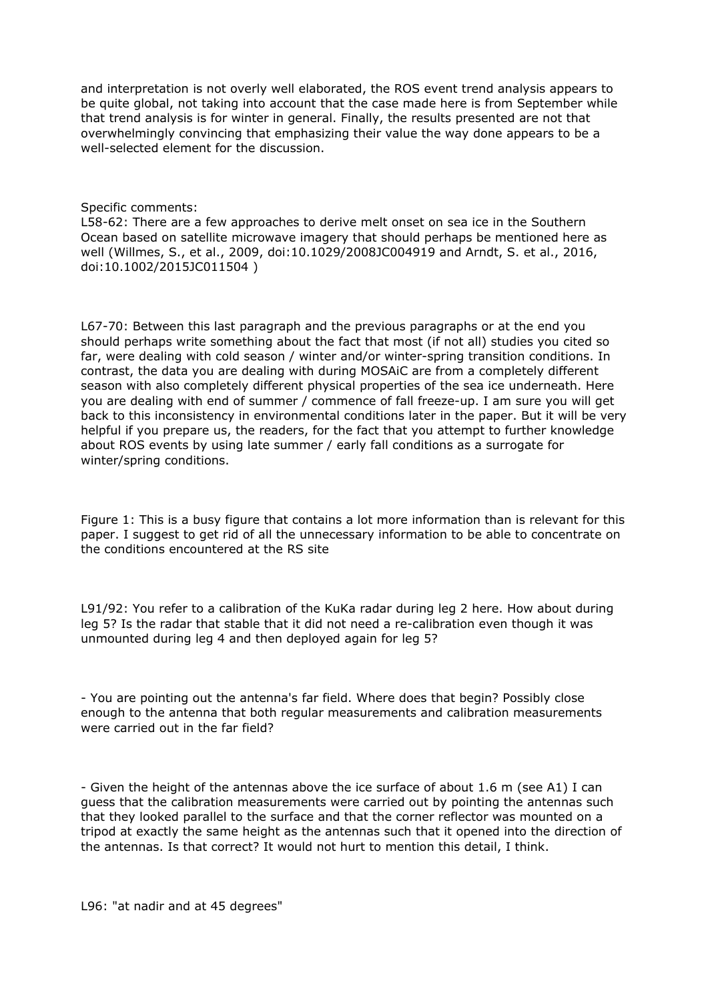and interpretation is not overly well elaborated, the ROS event trend analysis appears to be quite global, not taking into account that the case made here is from September while that trend analysis is for winter in general. Finally, the results presented are not that overwhelmingly convincing that emphasizing their value the way done appears to be a well-selected element for the discussion.

## Specific comments:

L58-62: There are a few approaches to derive melt onset on sea ice in the Southern Ocean based on satellite microwave imagery that should perhaps be mentioned here as well (Willmes, S., et al., 2009, doi:10.1029/2008JC004919 and Arndt, S. et al., 2016, doi:10.1002/2015JC011504 )

L67-70: Between this last paragraph and the previous paragraphs or at the end you should perhaps write something about the fact that most (if not all) studies you cited so far, were dealing with cold season / winter and/or winter-spring transition conditions. In contrast, the data you are dealing with during MOSAiC are from a completely different season with also completely different physical properties of the sea ice underneath. Here you are dealing with end of summer / commence of fall freeze-up. I am sure you will get back to this inconsistency in environmental conditions later in the paper. But it will be very helpful if you prepare us, the readers, for the fact that you attempt to further knowledge about ROS events by using late summer / early fall conditions as a surrogate for winter/spring conditions.

Figure 1: This is a busy figure that contains a lot more information than is relevant for this paper. I suggest to get rid of all the unnecessary information to be able to concentrate on the conditions encountered at the RS site

L91/92: You refer to a calibration of the KuKa radar during leg 2 here. How about during leg 5? Is the radar that stable that it did not need a re-calibration even though it was unmounted during leg 4 and then deployed again for leg 5?

- You are pointing out the antenna's far field. Where does that begin? Possibly close enough to the antenna that both regular measurements and calibration measurements were carried out in the far field?

- Given the height of the antennas above the ice surface of about 1.6 m (see A1) I can guess that the calibration measurements were carried out by pointing the antennas such that they looked parallel to the surface and that the corner reflector was mounted on a tripod at exactly the same height as the antennas such that it opened into the direction of the antennas. Is that correct? It would not hurt to mention this detail, I think.

L96: "at nadir and at 45 degrees"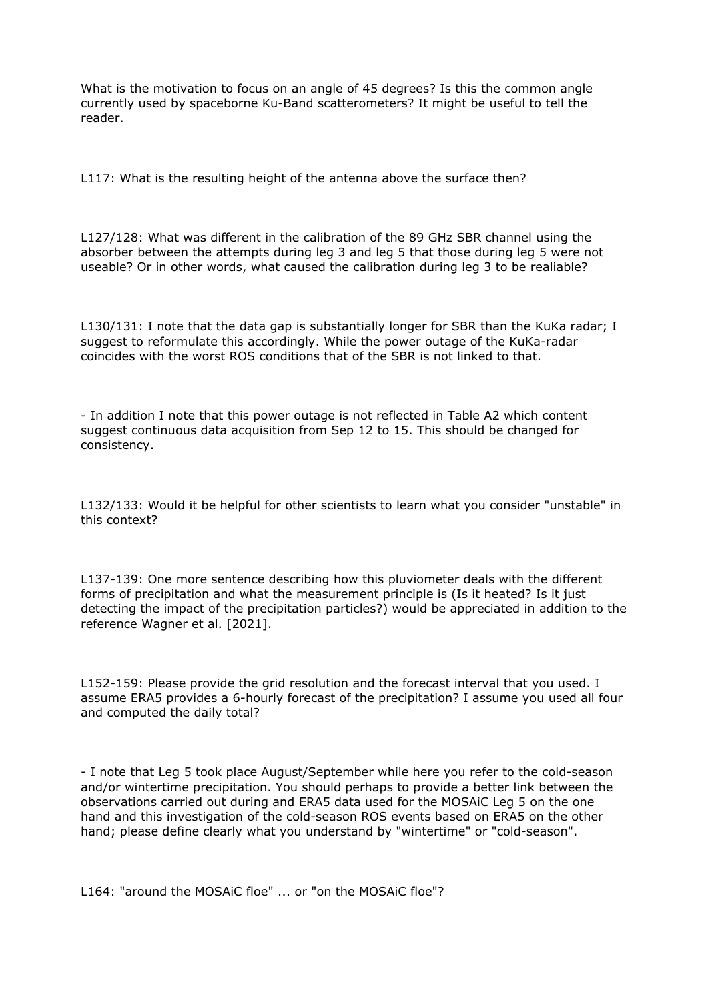What is the motivation to focus on an angle of 45 degrees? Is this the common angle currently used by spaceborne Ku-Band scatterometers? It might be useful to tell the reader.

L117: What is the resulting height of the antenna above the surface then?

L127/128: What was different in the calibration of the 89 GHz SBR channel using the absorber between the attempts during leg 3 and leg 5 that those during leg 5 were not useable? Or in other words, what caused the calibration during leg 3 to be realiable?

L130/131: I note that the data gap is substantially longer for SBR than the KuKa radar; I suggest to reformulate this accordingly. While the power outage of the KuKa-radar coincides with the worst ROS conditions that of the SBR is not linked to that.

- In addition I note that this power outage is not reflected in Table A2 which content suggest continuous data acquisition from Sep 12 to 15. This should be changed for consistency.

L132/133: Would it be helpful for other scientists to learn what you consider "unstable" in this context?

L137-139: One more sentence describing how this pluviometer deals with the different forms of precipitation and what the measurement principle is (Is it heated? Is it just detecting the impact of the precipitation particles?) would be appreciated in addition to the reference Wagner et al. [2021].

L152-159: Please provide the grid resolution and the forecast interval that you used. I assume ERA5 provides a 6-hourly forecast of the precipitation? I assume you used all four and computed the daily total?

- I note that Leg 5 took place August/September while here you refer to the cold-season and/or wintertime precipitation. You should perhaps to provide a better link between the observations carried out during and ERA5 data used for the MOSAiC Leg 5 on the one hand and this investigation of the cold-season ROS events based on ERA5 on the other hand; please define clearly what you understand by "wintertime" or "cold-season".

L164: "around the MOSAiC floe" ... or "on the MOSAiC floe"?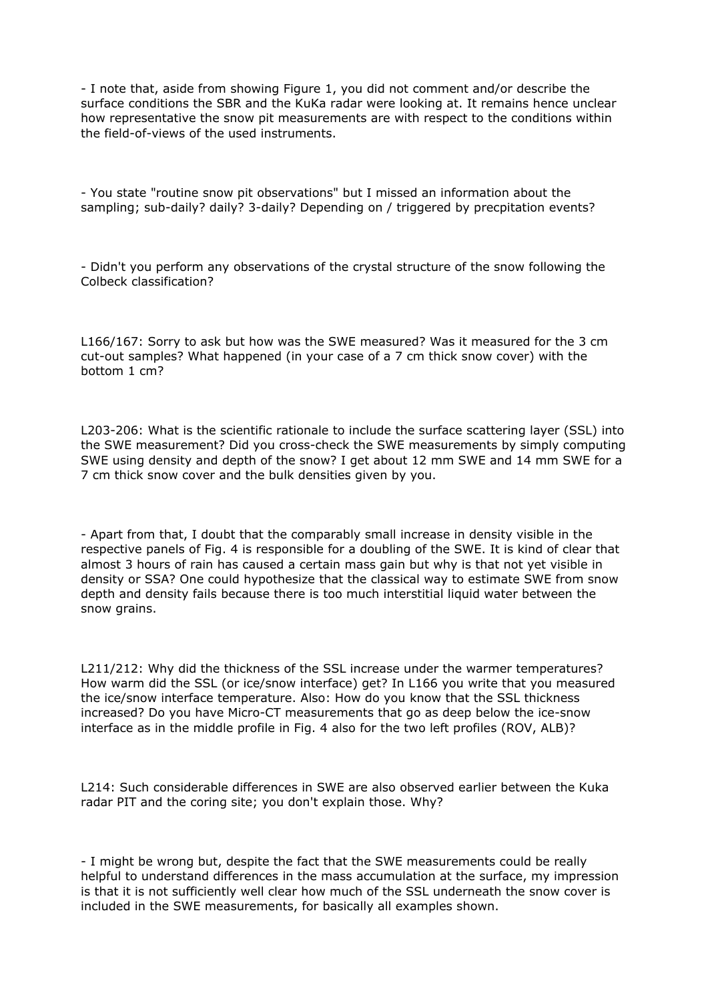- I note that, aside from showing Figure 1, you did not comment and/or describe the surface conditions the SBR and the KuKa radar were looking at. It remains hence unclear how representative the snow pit measurements are with respect to the conditions within the field-of-views of the used instruments.

- You state "routine snow pit observations" but I missed an information about the sampling; sub-daily? daily? 3-daily? Depending on / triggered by precpitation events?

- Didn't you perform any observations of the crystal structure of the snow following the Colbeck classification?

L166/167: Sorry to ask but how was the SWE measured? Was it measured for the 3 cm cut-out samples? What happened (in your case of a 7 cm thick snow cover) with the bottom 1 cm?

L203-206: What is the scientific rationale to include the surface scattering layer (SSL) into the SWE measurement? Did you cross-check the SWE measurements by simply computing SWE using density and depth of the snow? I get about 12 mm SWE and 14 mm SWE for a 7 cm thick snow cover and the bulk densities given by you.

- Apart from that, I doubt that the comparably small increase in density visible in the respective panels of Fig. 4 is responsible for a doubling of the SWE. It is kind of clear that almost 3 hours of rain has caused a certain mass gain but why is that not yet visible in density or SSA? One could hypothesize that the classical way to estimate SWE from snow depth and density fails because there is too much interstitial liquid water between the snow grains.

L211/212: Why did the thickness of the SSL increase under the warmer temperatures? How warm did the SSL (or ice/snow interface) get? In L166 you write that you measured the ice/snow interface temperature. Also: How do you know that the SSL thickness increased? Do you have Micro-CT measurements that go as deep below the ice-snow interface as in the middle profile in Fig. 4 also for the two left profiles (ROV, ALB)?

L214: Such considerable differences in SWE are also observed earlier between the Kuka radar PIT and the coring site; you don't explain those. Why?

- I might be wrong but, despite the fact that the SWE measurements could be really helpful to understand differences in the mass accumulation at the surface, my impression is that it is not sufficiently well clear how much of the SSL underneath the snow cover is included in the SWE measurements, for basically all examples shown.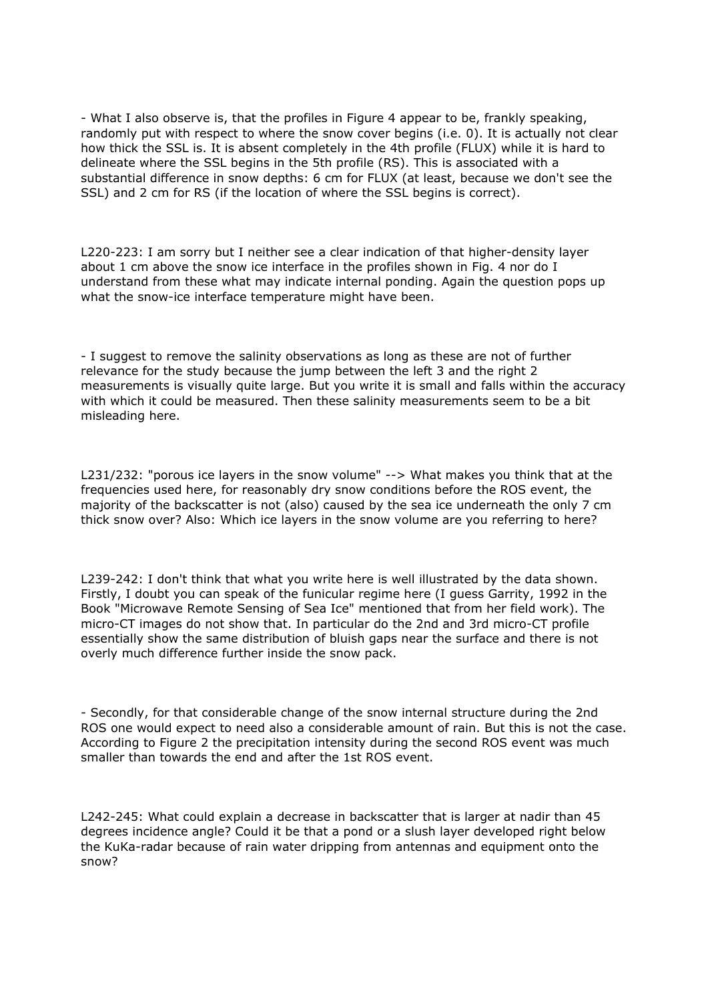- What I also observe is, that the profiles in Figure 4 appear to be, frankly speaking, randomly put with respect to where the snow cover begins (i.e. 0). It is actually not clear how thick the SSL is. It is absent completely in the 4th profile (FLUX) while it is hard to delineate where the SSL begins in the 5th profile (RS). This is associated with a substantial difference in snow depths: 6 cm for FLUX (at least, because we don't see the SSL) and 2 cm for RS (if the location of where the SSL begins is correct).

L220-223: I am sorry but I neither see a clear indication of that higher-density layer about 1 cm above the snow ice interface in the profiles shown in Fig. 4 nor do I understand from these what may indicate internal ponding. Again the question pops up what the snow-ice interface temperature might have been.

- I suggest to remove the salinity observations as long as these are not of further relevance for the study because the jump between the left 3 and the right 2 measurements is visually quite large. But you write it is small and falls within the accuracy with which it could be measured. Then these salinity measurements seem to be a bit misleading here.

L231/232: "porous ice layers in the snow volume" --> What makes you think that at the frequencies used here, for reasonably dry snow conditions before the ROS event, the majority of the backscatter is not (also) caused by the sea ice underneath the only 7 cm thick snow over? Also: Which ice layers in the snow volume are you referring to here?

L239-242: I don't think that what you write here is well illustrated by the data shown. Firstly, I doubt you can speak of the funicular regime here (I guess Garrity, 1992 in the Book "Microwave Remote Sensing of Sea Ice" mentioned that from her field work). The micro-CT images do not show that. In particular do the 2nd and 3rd micro-CT profile essentially show the same distribution of bluish gaps near the surface and there is not overly much difference further inside the snow pack.

- Secondly, for that considerable change of the snow internal structure during the 2nd ROS one would expect to need also a considerable amount of rain. But this is not the case. According to Figure 2 the precipitation intensity during the second ROS event was much smaller than towards the end and after the 1st ROS event.

L242-245: What could explain a decrease in backscatter that is larger at nadir than 45 degrees incidence angle? Could it be that a pond or a slush layer developed right below the KuKa-radar because of rain water dripping from antennas and equipment onto the snow?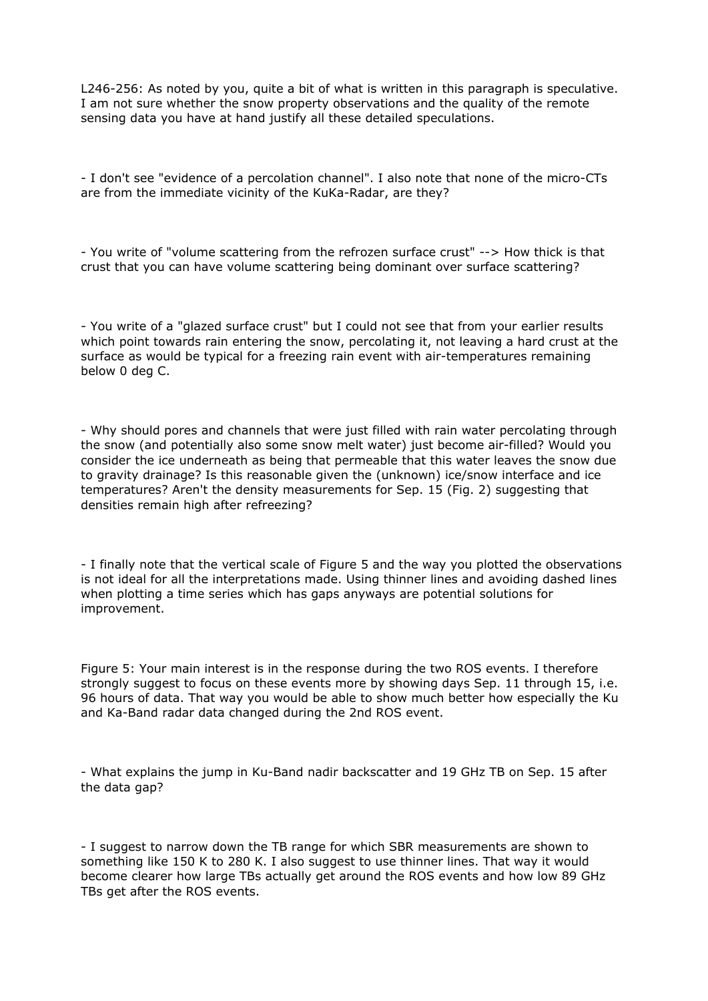L246-256: As noted by you, quite a bit of what is written in this paragraph is speculative. I am not sure whether the snow property observations and the quality of the remote sensing data you have at hand justify all these detailed speculations.

- I don't see "evidence of a percolation channel". I also note that none of the micro-CTs are from the immediate vicinity of the KuKa-Radar, are they?

- You write of "volume scattering from the refrozen surface crust" --> How thick is that crust that you can have volume scattering being dominant over surface scattering?

- You write of a "glazed surface crust" but I could not see that from your earlier results which point towards rain entering the snow, percolating it, not leaving a hard crust at the surface as would be typical for a freezing rain event with air-temperatures remaining below 0 deg C.

- Why should pores and channels that were just filled with rain water percolating through the snow (and potentially also some snow melt water) just become air-filled? Would you consider the ice underneath as being that permeable that this water leaves the snow due to gravity drainage? Is this reasonable given the (unknown) ice/snow interface and ice temperatures? Aren't the density measurements for Sep. 15 (Fig. 2) suggesting that densities remain high after refreezing?

- I finally note that the vertical scale of Figure 5 and the way you plotted the observations is not ideal for all the interpretations made. Using thinner lines and avoiding dashed lines when plotting a time series which has gaps anyways are potential solutions for improvement.

Figure 5: Your main interest is in the response during the two ROS events. I therefore strongly suggest to focus on these events more by showing days Sep. 11 through 15, i.e. 96 hours of data. That way you would be able to show much better how especially the Ku and Ka-Band radar data changed during the 2nd ROS event.

- What explains the jump in Ku-Band nadir backscatter and 19 GHz TB on Sep. 15 after the data gap?

- I suggest to narrow down the TB range for which SBR measurements are shown to something like 150 K to 280 K. I also suggest to use thinner lines. That way it would become clearer how large TBs actually get around the ROS events and how low 89 GHz TBs get after the ROS events.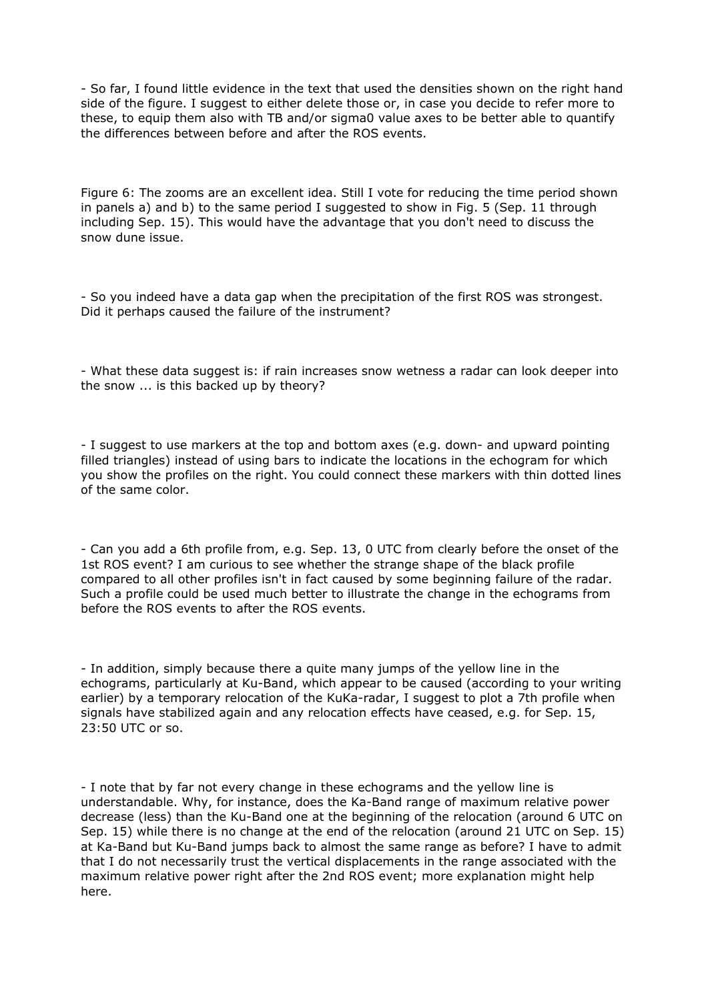- So far, I found little evidence in the text that used the densities shown on the right hand side of the figure. I suggest to either delete those or, in case you decide to refer more to these, to equip them also with TB and/or sigma0 value axes to be better able to quantify the differences between before and after the ROS events.

Figure 6: The zooms are an excellent idea. Still I vote for reducing the time period shown in panels a) and b) to the same period I suggested to show in Fig. 5 (Sep. 11 through including Sep. 15). This would have the advantage that you don't need to discuss the snow dune issue.

- So you indeed have a data gap when the precipitation of the first ROS was strongest. Did it perhaps caused the failure of the instrument?

- What these data suggest is: if rain increases snow wetness a radar can look deeper into the snow ... is this backed up by theory?

- I suggest to use markers at the top and bottom axes (e.g. down- and upward pointing filled triangles) instead of using bars to indicate the locations in the echogram for which you show the profiles on the right. You could connect these markers with thin dotted lines of the same color.

- Can you add a 6th profile from, e.g. Sep. 13, 0 UTC from clearly before the onset of the 1st ROS event? I am curious to see whether the strange shape of the black profile compared to all other profiles isn't in fact caused by some beginning failure of the radar. Such a profile could be used much better to illustrate the change in the echograms from before the ROS events to after the ROS events.

- In addition, simply because there a quite many jumps of the yellow line in the echograms, particularly at Ku-Band, which appear to be caused (according to your writing earlier) by a temporary relocation of the KuKa-radar, I suggest to plot a 7th profile when signals have stabilized again and any relocation effects have ceased, e.g. for Sep. 15, 23:50 UTC or so.

- I note that by far not every change in these echograms and the yellow line is understandable. Why, for instance, does the Ka-Band range of maximum relative power decrease (less) than the Ku-Band one at the beginning of the relocation (around 6 UTC on Sep. 15) while there is no change at the end of the relocation (around 21 UTC on Sep. 15) at Ka-Band but Ku-Band jumps back to almost the same range as before? I have to admit that I do not necessarily trust the vertical displacements in the range associated with the maximum relative power right after the 2nd ROS event; more explanation might help here.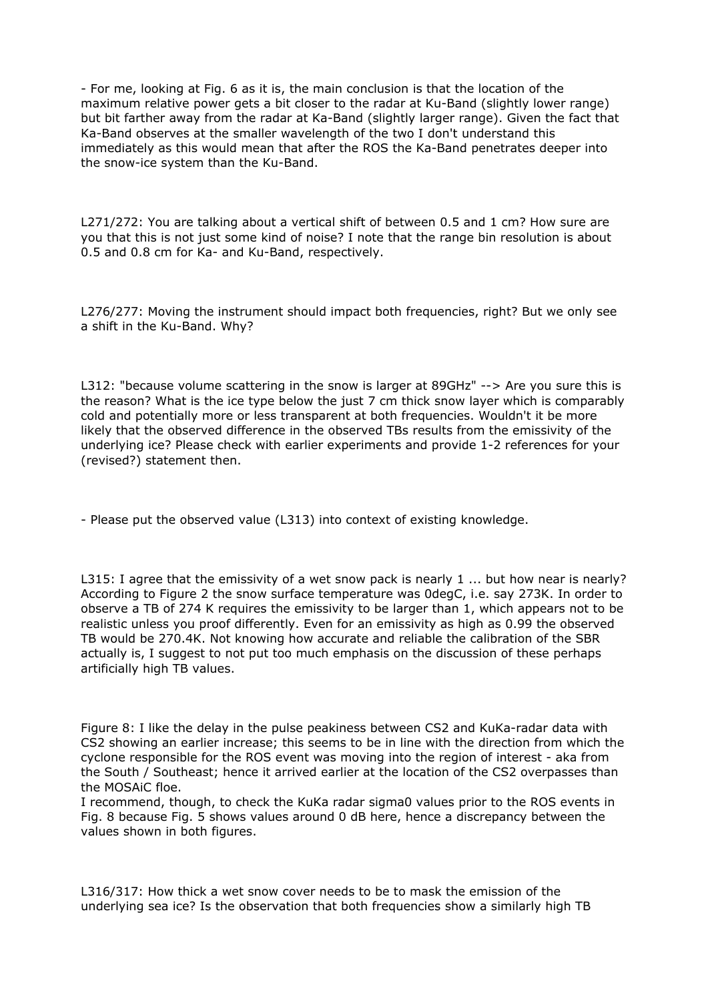- For me, looking at Fig. 6 as it is, the main conclusion is that the location of the maximum relative power gets a bit closer to the radar at Ku-Band (slightly lower range) but bit farther away from the radar at Ka-Band (slightly larger range). Given the fact that Ka-Band observes at the smaller wavelength of the two I don't understand this immediately as this would mean that after the ROS the Ka-Band penetrates deeper into the snow-ice system than the Ku-Band.

L271/272: You are talking about a vertical shift of between 0.5 and 1 cm? How sure are you that this is not just some kind of noise? I note that the range bin resolution is about 0.5 and 0.8 cm for Ka- and Ku-Band, respectively.

L276/277: Moving the instrument should impact both frequencies, right? But we only see a shift in the Ku-Band. Why?

L312: "because volume scattering in the snow is larger at 89GHz" --> Are you sure this is the reason? What is the ice type below the just 7 cm thick snow layer which is comparably cold and potentially more or less transparent at both frequencies. Wouldn't it be more likely that the observed difference in the observed TBs results from the emissivity of the underlying ice? Please check with earlier experiments and provide 1-2 references for your (revised?) statement then.

- Please put the observed value (L313) into context of existing knowledge.

L315: I agree that the emissivity of a wet snow pack is nearly 1 ... but how near is nearly? According to Figure 2 the snow surface temperature was 0degC, i.e. say 273K. In order to observe a TB of 274 K requires the emissivity to be larger than 1, which appears not to be realistic unless you proof differently. Even for an emissivity as high as 0.99 the observed TB would be 270.4K. Not knowing how accurate and reliable the calibration of the SBR actually is, I suggest to not put too much emphasis on the discussion of these perhaps artificially high TB values.

Figure 8: I like the delay in the pulse peakiness between CS2 and KuKa-radar data with CS2 showing an earlier increase; this seems to be in line with the direction from which the cyclone responsible for the ROS event was moving into the region of interest - aka from the South / Southeast; hence it arrived earlier at the location of the CS2 overpasses than the MOSAiC floe.

I recommend, though, to check the KuKa radar sigma0 values prior to the ROS events in Fig. 8 because Fig. 5 shows values around 0 dB here, hence a discrepancy between the values shown in both figures.

L316/317: How thick a wet snow cover needs to be to mask the emission of the underlying sea ice? Is the observation that both frequencies show a similarly high TB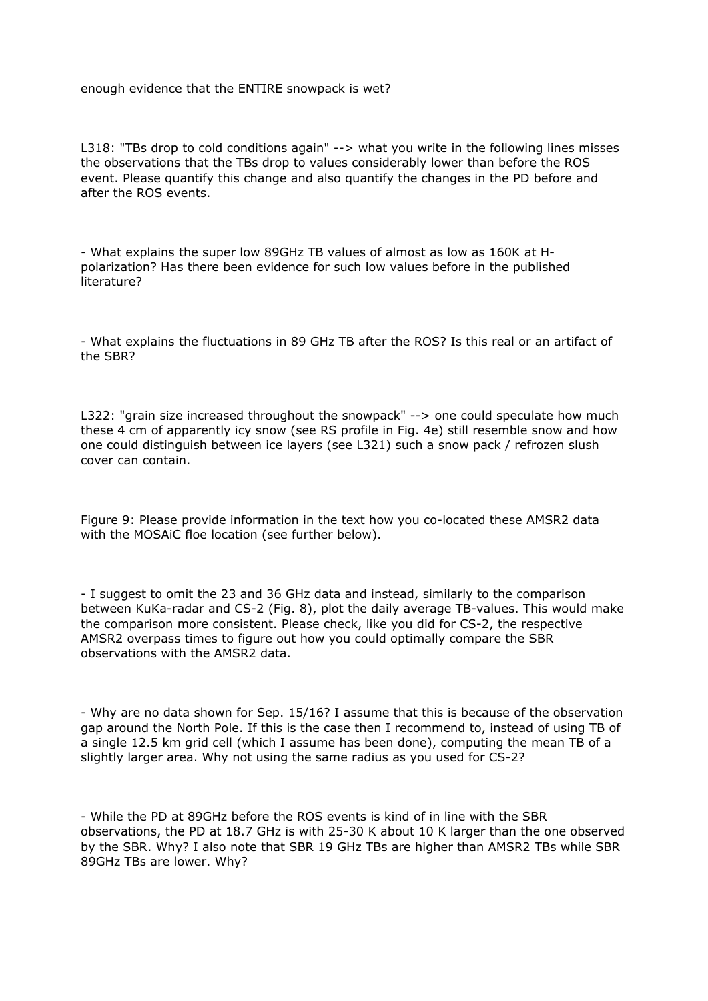enough evidence that the ENTIRE snowpack is wet?

L318: "TBs drop to cold conditions again" --> what you write in the following lines misses the observations that the TBs drop to values considerably lower than before the ROS event. Please quantify this change and also quantify the changes in the PD before and after the ROS events.

- What explains the super low 89GHz TB values of almost as low as 160K at Hpolarization? Has there been evidence for such low values before in the published literature?

- What explains the fluctuations in 89 GHz TB after the ROS? Is this real or an artifact of the SBR?

L322: "grain size increased throughout the snowpack" --> one could speculate how much these 4 cm of apparently icy snow (see RS profile in Fig. 4e) still resemble snow and how one could distinguish between ice layers (see L321) such a snow pack / refrozen slush cover can contain.

Figure 9: Please provide information in the text how you co-located these AMSR2 data with the MOSAiC floe location (see further below).

- I suggest to omit the 23 and 36 GHz data and instead, similarly to the comparison between KuKa-radar and CS-2 (Fig. 8), plot the daily average TB-values. This would make the comparison more consistent. Please check, like you did for CS-2, the respective AMSR2 overpass times to figure out how you could optimally compare the SBR observations with the AMSR2 data.

- Why are no data shown for Sep. 15/16? I assume that this is because of the observation gap around the North Pole. If this is the case then I recommend to, instead of using TB of a single 12.5 km grid cell (which I assume has been done), computing the mean TB of a slightly larger area. Why not using the same radius as you used for CS-2?

- While the PD at 89GHz before the ROS events is kind of in line with the SBR observations, the PD at 18.7 GHz is with 25-30 K about 10 K larger than the one observed by the SBR. Why? I also note that SBR 19 GHz TBs are higher than AMSR2 TBs while SBR 89GHz TBs are lower. Why?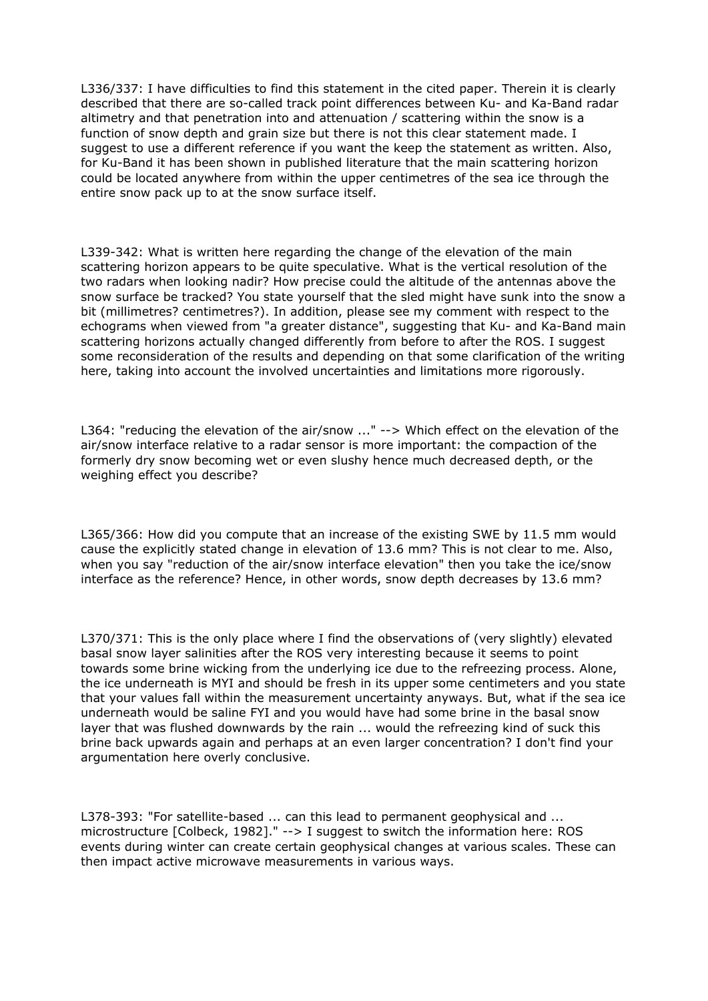L336/337: I have difficulties to find this statement in the cited paper. Therein it is clearly described that there are so-called track point differences between Ku- and Ka-Band radar altimetry and that penetration into and attenuation / scattering within the snow is a function of snow depth and grain size but there is not this clear statement made. I suggest to use a different reference if you want the keep the statement as written. Also, for Ku-Band it has been shown in published literature that the main scattering horizon could be located anywhere from within the upper centimetres of the sea ice through the entire snow pack up to at the snow surface itself.

L339-342: What is written here regarding the change of the elevation of the main scattering horizon appears to be quite speculative. What is the vertical resolution of the two radars when looking nadir? How precise could the altitude of the antennas above the snow surface be tracked? You state yourself that the sled might have sunk into the snow a bit (millimetres? centimetres?). In addition, please see my comment with respect to the echograms when viewed from "a greater distance", suggesting that Ku- and Ka-Band main scattering horizons actually changed differently from before to after the ROS. I suggest some reconsideration of the results and depending on that some clarification of the writing here, taking into account the involved uncertainties and limitations more rigorously.

L364: "reducing the elevation of the air/snow ..." --> Which effect on the elevation of the air/snow interface relative to a radar sensor is more important: the compaction of the formerly dry snow becoming wet or even slushy hence much decreased depth, or the weighing effect you describe?

L365/366: How did you compute that an increase of the existing SWE by 11.5 mm would cause the explicitly stated change in elevation of 13.6 mm? This is not clear to me. Also, when you say "reduction of the air/snow interface elevation" then you take the ice/snow interface as the reference? Hence, in other words, snow depth decreases by 13.6 mm?

L370/371: This is the only place where I find the observations of (very slightly) elevated basal snow layer salinities after the ROS very interesting because it seems to point towards some brine wicking from the underlying ice due to the refreezing process. Alone, the ice underneath is MYI and should be fresh in its upper some centimeters and you state that your values fall within the measurement uncertainty anyways. But, what if the sea ice underneath would be saline FYI and you would have had some brine in the basal snow layer that was flushed downwards by the rain ... would the refreezing kind of suck this brine back upwards again and perhaps at an even larger concentration? I don't find your argumentation here overly conclusive.

L378-393: "For satellite-based ... can this lead to permanent geophysical and ... microstructure [Colbeck, 1982]." --> I suggest to switch the information here: ROS events during winter can create certain geophysical changes at various scales. These can then impact active microwave measurements in various ways.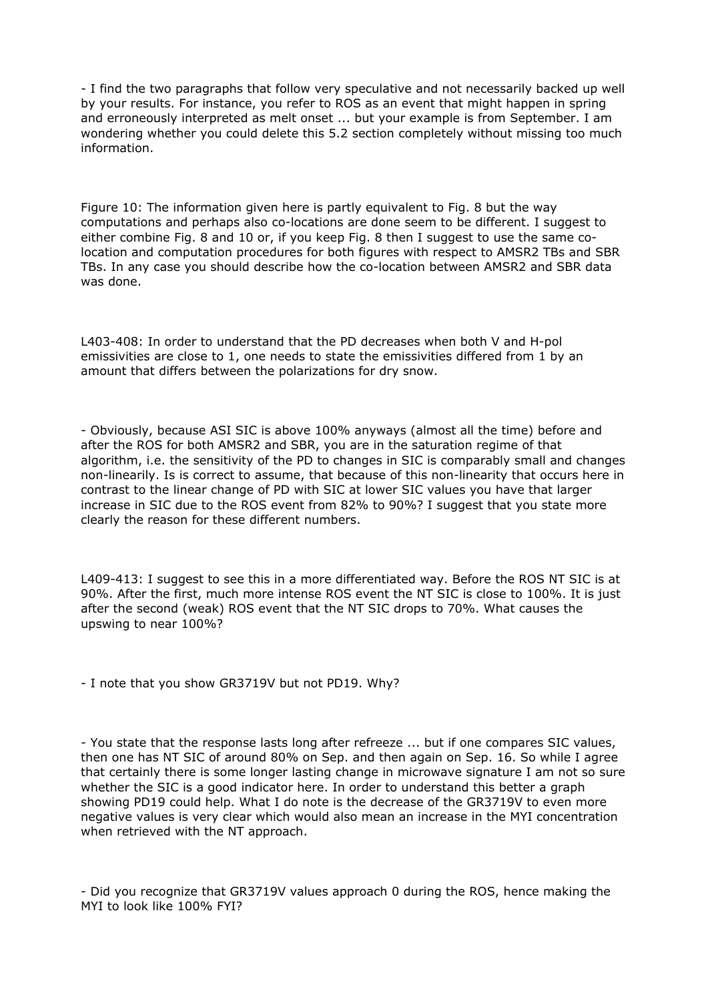- I find the two paragraphs that follow very speculative and not necessarily backed up well by your results. For instance, you refer to ROS as an event that might happen in spring and erroneously interpreted as melt onset ... but your example is from September. I am wondering whether you could delete this 5.2 section completely without missing too much information.

Figure 10: The information given here is partly equivalent to Fig. 8 but the way computations and perhaps also co-locations are done seem to be different. I suggest to either combine Fig. 8 and 10 or, if you keep Fig. 8 then I suggest to use the same colocation and computation procedures for both figures with respect to AMSR2 TBs and SBR TBs. In any case you should describe how the co-location between AMSR2 and SBR data was done.

L403-408: In order to understand that the PD decreases when both V and H-pol emissivities are close to 1, one needs to state the emissivities differed from 1 by an amount that differs between the polarizations for dry snow.

- Obviously, because ASI SIC is above 100% anyways (almost all the time) before and after the ROS for both AMSR2 and SBR, you are in the saturation regime of that algorithm, i.e. the sensitivity of the PD to changes in SIC is comparably small and changes non-linearily. Is is correct to assume, that because of this non-linearity that occurs here in contrast to the linear change of PD with SIC at lower SIC values you have that larger increase in SIC due to the ROS event from 82% to 90%? I suggest that you state more clearly the reason for these different numbers.

L409-413: I suggest to see this in a more differentiated way. Before the ROS NT SIC is at 90%. After the first, much more intense ROS event the NT SIC is close to 100%. It is just after the second (weak) ROS event that the NT SIC drops to 70%. What causes the upswing to near 100%?

- I note that you show GR3719V but not PD19. Why?

- You state that the response lasts long after refreeze ... but if one compares SIC values, then one has NT SIC of around 80% on Sep. and then again on Sep. 16. So while I agree that certainly there is some longer lasting change in microwave signature I am not so sure whether the SIC is a good indicator here. In order to understand this better a graph showing PD19 could help. What I do note is the decrease of the GR3719V to even more negative values is very clear which would also mean an increase in the MYI concentration when retrieved with the NT approach.

- Did you recognize that GR3719V values approach 0 during the ROS, hence making the MYI to look like 100% FYI?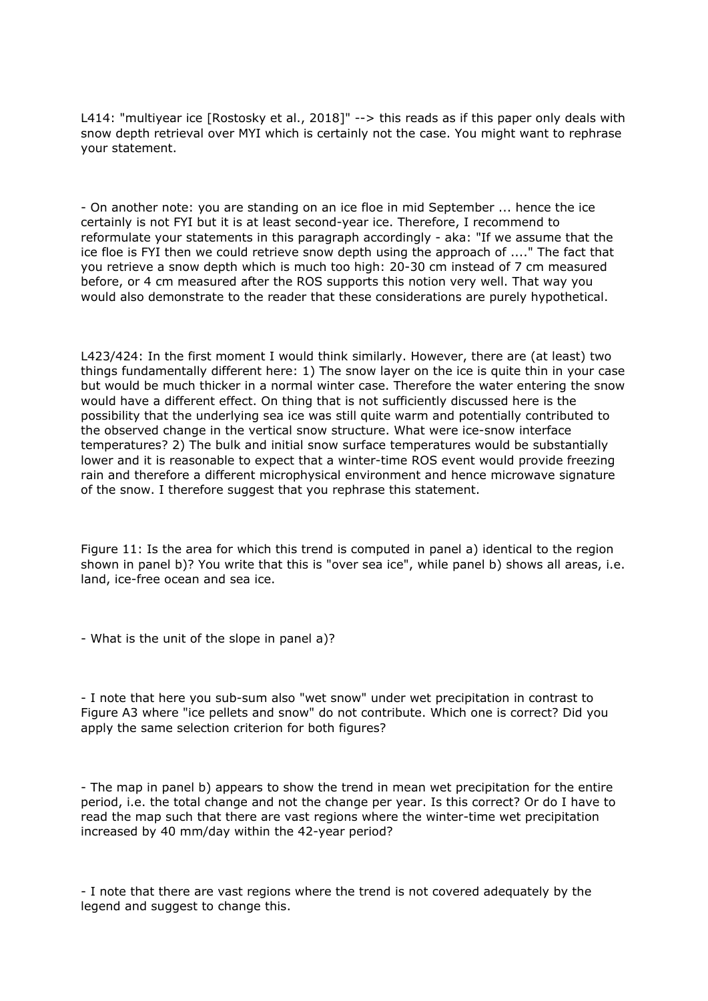L414: "multiyear ice [Rostosky et al., 2018]" --> this reads as if this paper only deals with snow depth retrieval over MYI which is certainly not the case. You might want to rephrase your statement.

- On another note: you are standing on an ice floe in mid September ... hence the ice certainly is not FYI but it is at least second-year ice. Therefore, I recommend to reformulate your statements in this paragraph accordingly - aka: "If we assume that the ice floe is FYI then we could retrieve snow depth using the approach of ...." The fact that you retrieve a snow depth which is much too high: 20-30 cm instead of 7 cm measured before, or 4 cm measured after the ROS supports this notion very well. That way you would also demonstrate to the reader that these considerations are purely hypothetical.

L423/424: In the first moment I would think similarly. However, there are (at least) two things fundamentally different here: 1) The snow layer on the ice is quite thin in your case but would be much thicker in a normal winter case. Therefore the water entering the snow would have a different effect. On thing that is not sufficiently discussed here is the possibility that the underlying sea ice was still quite warm and potentially contributed to the observed change in the vertical snow structure. What were ice-snow interface temperatures? 2) The bulk and initial snow surface temperatures would be substantially lower and it is reasonable to expect that a winter-time ROS event would provide freezing rain and therefore a different microphysical environment and hence microwave signature of the snow. I therefore suggest that you rephrase this statement.

Figure 11: Is the area for which this trend is computed in panel a) identical to the region shown in panel b)? You write that this is "over sea ice", while panel b) shows all areas, i.e. land, ice-free ocean and sea ice.

- What is the unit of the slope in panel a)?

- I note that here you sub-sum also "wet snow" under wet precipitation in contrast to Figure A3 where "ice pellets and snow" do not contribute. Which one is correct? Did you apply the same selection criterion for both figures?

- The map in panel b) appears to show the trend in mean wet precipitation for the entire period, i.e. the total change and not the change per year. Is this correct? Or do I have to read the map such that there are vast regions where the winter-time wet precipitation increased by 40 mm/day within the 42-year period?

- I note that there are vast regions where the trend is not covered adequately by the legend and suggest to change this.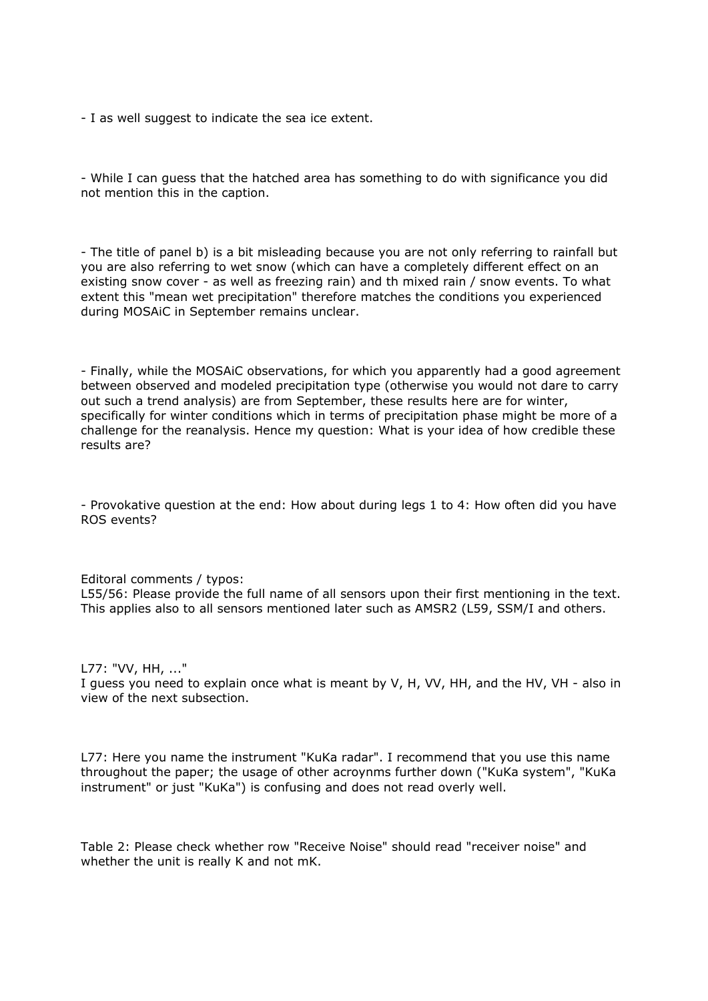- I as well suggest to indicate the sea ice extent.

- While I can guess that the hatched area has something to do with significance you did not mention this in the caption.

- The title of panel b) is a bit misleading because you are not only referring to rainfall but you are also referring to wet snow (which can have a completely different effect on an existing snow cover - as well as freezing rain) and th mixed rain / snow events. To what extent this "mean wet precipitation" therefore matches the conditions you experienced during MOSAiC in September remains unclear.

- Finally, while the MOSAiC observations, for which you apparently had a good agreement between observed and modeled precipitation type (otherwise you would not dare to carry out such a trend analysis) are from September, these results here are for winter, specifically for winter conditions which in terms of precipitation phase might be more of a challenge for the reanalysis. Hence my question: What is your idea of how credible these results are?

- Provokative question at the end: How about during legs 1 to 4: How often did you have ROS events?

Editoral comments / typos: L55/56: Please provide the full name of all sensors upon their first mentioning in the text. This applies also to all sensors mentioned later such as AMSR2 (L59, SSM/I and others.

L77: "VV, HH, ..."

I guess you need to explain once what is meant by V, H, VV, HH, and the HV, VH - also in view of the next subsection.

L77: Here you name the instrument "KuKa radar". I recommend that you use this name throughout the paper; the usage of other acroynms further down ("KuKa system", "KuKa instrument" or just "KuKa") is confusing and does not read overly well.

Table 2: Please check whether row "Receive Noise" should read "receiver noise" and whether the unit is really K and not mK.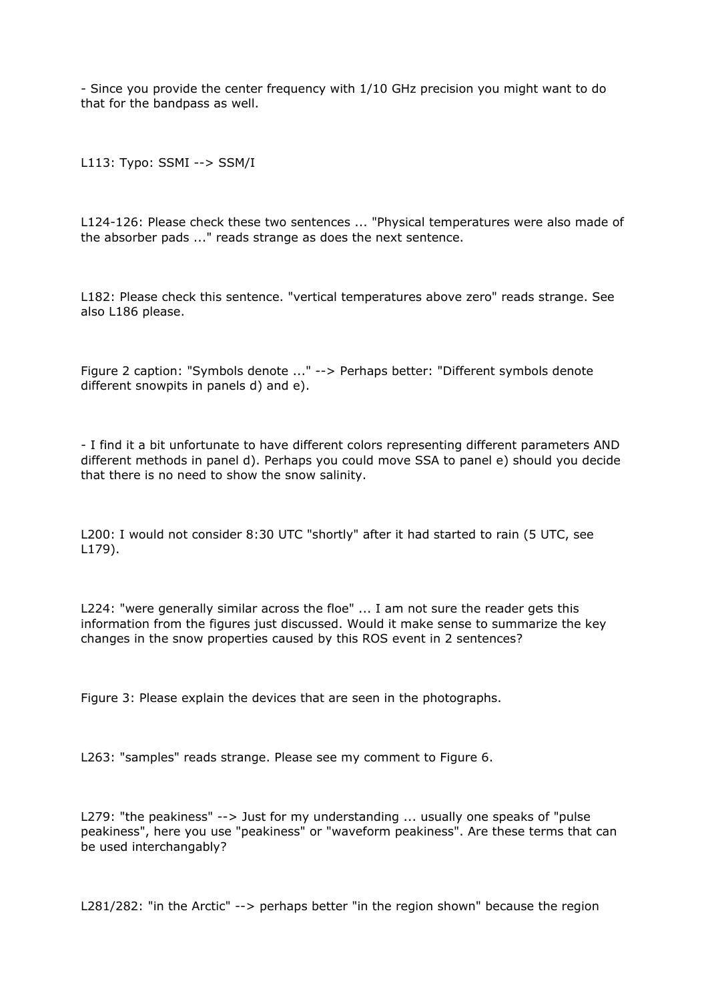- Since you provide the center frequency with 1/10 GHz precision you might want to do that for the bandpass as well.

L113: Typo: SSMI --> SSM/I

L124-126: Please check these two sentences ... "Physical temperatures were also made of the absorber pads ..." reads strange as does the next sentence.

L182: Please check this sentence. "vertical temperatures above zero" reads strange. See also L186 please.

Figure 2 caption: "Symbols denote ..." --> Perhaps better: "Different symbols denote different snowpits in panels d) and e).

- I find it a bit unfortunate to have different colors representing different parameters AND different methods in panel d). Perhaps you could move SSA to panel e) should you decide that there is no need to show the snow salinity.

L200: I would not consider 8:30 UTC "shortly" after it had started to rain (5 UTC, see L179).

L224: "were generally similar across the floe" ... I am not sure the reader gets this information from the figures just discussed. Would it make sense to summarize the key changes in the snow properties caused by this ROS event in 2 sentences?

Figure 3: Please explain the devices that are seen in the photographs.

L263: "samples" reads strange. Please see my comment to Figure 6.

L279: "the peakiness" --> Just for my understanding ... usually one speaks of "pulse peakiness", here you use "peakiness" or "waveform peakiness". Are these terms that can be used interchangably?

L281/282: "in the Arctic" --> perhaps better "in the region shown" because the region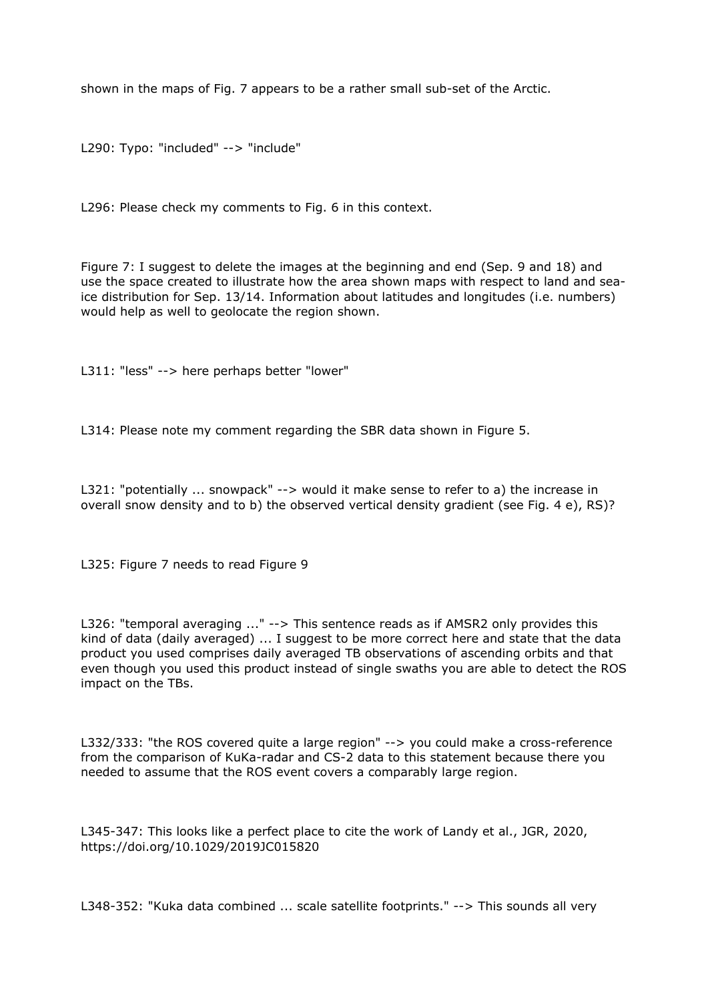shown in the maps of Fig. 7 appears to be a rather small sub-set of the Arctic.

L290: Typo: "included" --> "include"

L296: Please check my comments to Fig. 6 in this context.

Figure 7: I suggest to delete the images at the beginning and end (Sep. 9 and 18) and use the space created to illustrate how the area shown maps with respect to land and seaice distribution for Sep. 13/14. Information about latitudes and longitudes (i.e. numbers) would help as well to geolocate the region shown.

L311: "less" --> here perhaps better "lower"

L314: Please note my comment regarding the SBR data shown in Figure 5.

L321: "potentially ... snowpack" --> would it make sense to refer to a) the increase in overall snow density and to b) the observed vertical density gradient (see Fig. 4 e), RS)?

L325: Figure 7 needs to read Figure 9

L326: "temporal averaging ..." --> This sentence reads as if AMSR2 only provides this kind of data (daily averaged) ... I suggest to be more correct here and state that the data product you used comprises daily averaged TB observations of ascending orbits and that even though you used this product instead of single swaths you are able to detect the ROS impact on the TBs.

L332/333: "the ROS covered quite a large region" --> you could make a cross-reference from the comparison of KuKa-radar and CS-2 data to this statement because there you needed to assume that the ROS event covers a comparably large region.

L345-347: This looks like a perfect place to cite the work of Landy et al., JGR, 2020, https://doi.org/10.1029/2019JC015820

L348-352: "Kuka data combined ... scale satellite footprints." --> This sounds all very